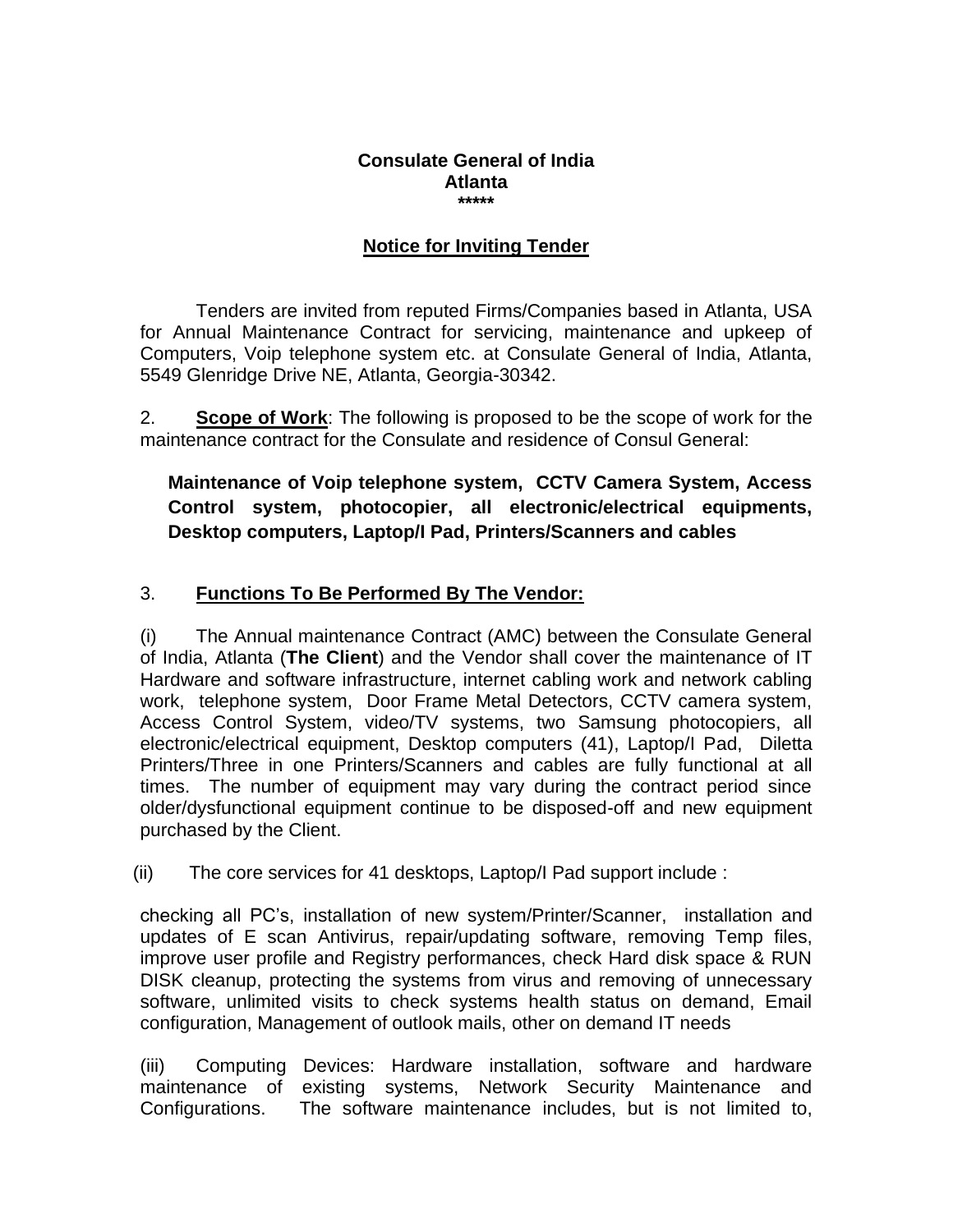#### **Consulate General of India Atlanta \*\*\*\*\***

# **Notice for Inviting Tender**

Tenders are invited from reputed Firms/Companies based in Atlanta, USA for Annual Maintenance Contract for servicing, maintenance and upkeep of Computers, Voip telephone system etc. at Consulate General of India, Atlanta, 5549 Glenridge Drive NE, Atlanta, Georgia-30342.

2. **Scope of Work**: The following is proposed to be the scope of work for the maintenance contract for the Consulate and residence of Consul General:

**Maintenance of Voip telephone system, CCTV Camera System, Access Control system, photocopier, all electronic/electrical equipments, Desktop computers, Laptop/I Pad, Printers/Scanners and cables**

# 3. **Functions To Be Performed By The Vendor:**

(i) The Annual maintenance Contract (AMC) between the Consulate General of India, Atlanta (**The Client**) and the Vendor shall cover the maintenance of IT Hardware and software infrastructure, internet cabling work and network cabling work, telephone system, Door Frame Metal Detectors, CCTV camera system, Access Control System, video/TV systems, two Samsung photocopiers, all electronic/electrical equipment, Desktop computers (41), Laptop/I Pad, Diletta Printers/Three in one Printers/Scanners and cables are fully functional at all times. The number of equipment may vary during the contract period since older/dysfunctional equipment continue to be disposed-off and new equipment purchased by the Client.

(ii) The core services for 41 desktops, Laptop/I Pad support include :

checking all PC's, installation of new system/Printer/Scanner, installation and updates of E scan Antivirus, repair/updating software, removing Temp files, improve user profile and Registry performances, check Hard disk space & RUN DISK cleanup, protecting the systems from virus and removing of unnecessary software, unlimited visits to check systems health status on demand, Email configuration, Management of outlook mails, other on demand IT needs

(iii) Computing Devices: Hardware installation, software and hardware maintenance of existing systems, Network Security Maintenance and Configurations. The software maintenance includes, but is not limited to,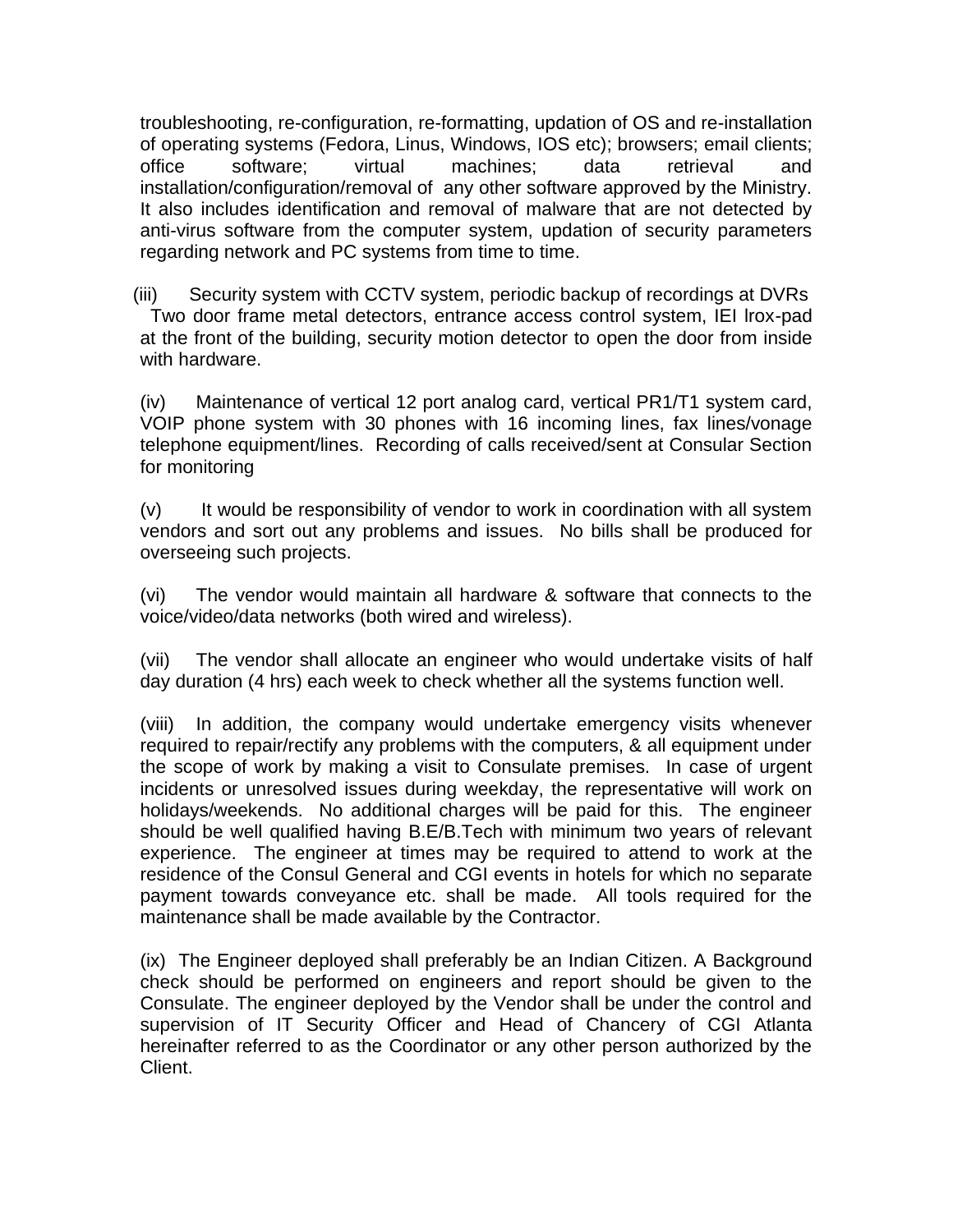troubleshooting, re-configuration, re-formatting, updation of OS and re-installation of operating systems (Fedora, Linus, Windows, IOS etc); browsers; email clients; office software; virtual machines; data retrieval and installation/configuration/removal of any other software approved by the Ministry. It also includes identification and removal of malware that are not detected by anti-virus software from the computer system, updation of security parameters regarding network and PC systems from time to time.

(iii) Security system with CCTV system, periodic backup of recordings at DVRs Two door frame metal detectors, entrance access control system, IEI lrox-pad at the front of the building, security motion detector to open the door from inside with hardware.

(iv) Maintenance of vertical 12 port analog card, vertical PR1/T1 system card, VOIP phone system with 30 phones with 16 incoming lines, fax lines/vonage telephone equipment/lines. Recording of calls received/sent at Consular Section for monitoring

(v) It would be responsibility of vendor to work in coordination with all system vendors and sort out any problems and issues. No bills shall be produced for overseeing such projects.

(vi) The vendor would maintain all hardware & software that connects to the voice/video/data networks (both wired and wireless).

(vii) The vendor shall allocate an engineer who would undertake visits of half day duration (4 hrs) each week to check whether all the systems function well.

(viii) In addition, the company would undertake emergency visits whenever required to repair/rectify any problems with the computers, & all equipment under the scope of work by making a visit to Consulate premises. In case of urgent incidents or unresolved issues during weekday, the representative will work on holidays/weekends. No additional charges will be paid for this. The engineer should be well qualified having B.E/B.Tech with minimum two years of relevant experience. The engineer at times may be required to attend to work at the residence of the Consul General and CGI events in hotels for which no separate payment towards conveyance etc. shall be made. All tools required for the maintenance shall be made available by the Contractor.

(ix) The Engineer deployed shall preferably be an Indian Citizen. A Background check should be performed on engineers and report should be given to the Consulate. The engineer deployed by the Vendor shall be under the control and supervision of IT Security Officer and Head of Chancery of CGI Atlanta hereinafter referred to as the Coordinator or any other person authorized by the Client.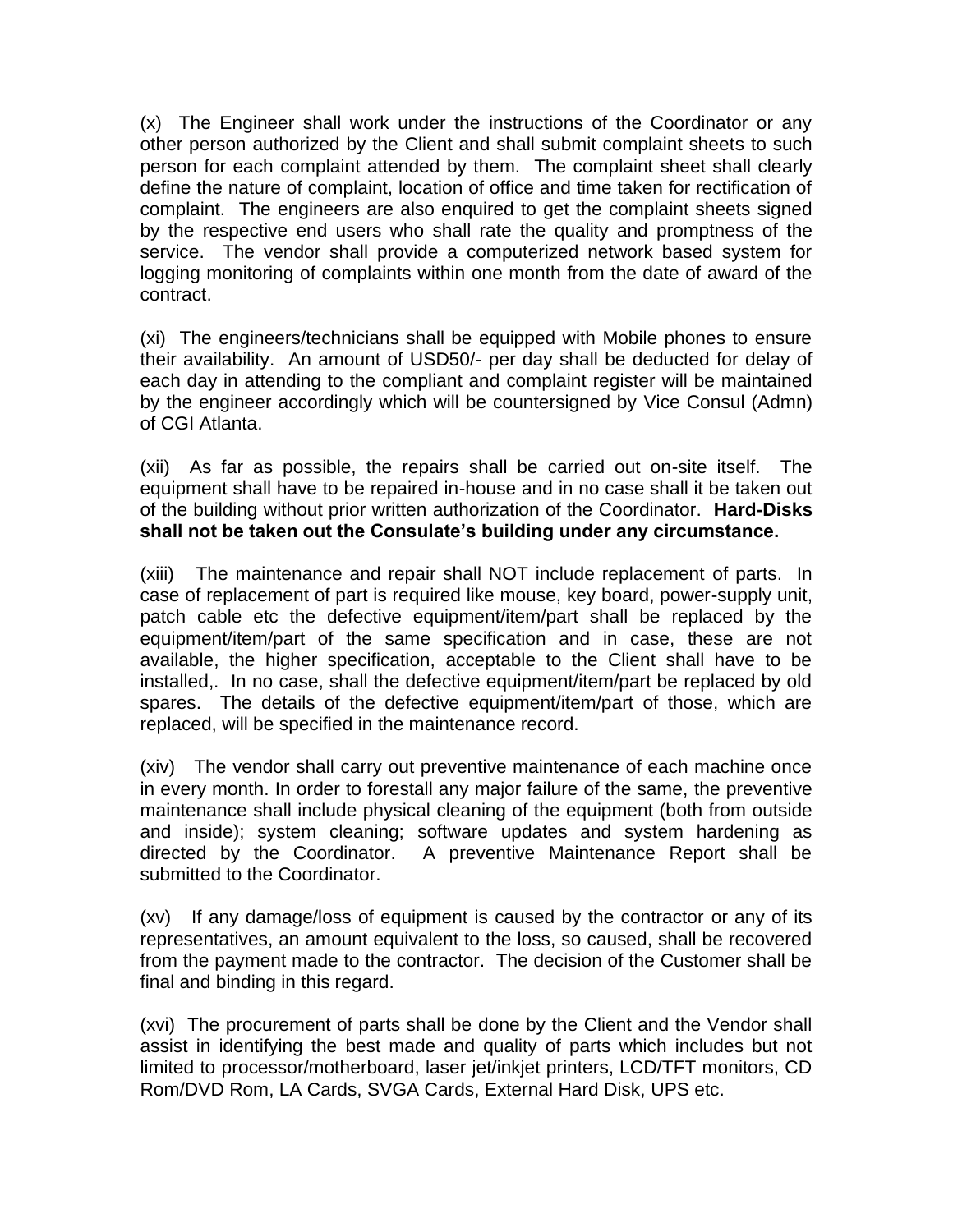(x) The Engineer shall work under the instructions of the Coordinator or any other person authorized by the Client and shall submit complaint sheets to such person for each complaint attended by them. The complaint sheet shall clearly define the nature of complaint, location of office and time taken for rectification of complaint. The engineers are also enquired to get the complaint sheets signed by the respective end users who shall rate the quality and promptness of the service. The vendor shall provide a computerized network based system for logging monitoring of complaints within one month from the date of award of the contract.

(xi) The engineers/technicians shall be equipped with Mobile phones to ensure their availability. An amount of USD50/- per day shall be deducted for delay of each day in attending to the compliant and complaint register will be maintained by the engineer accordingly which will be countersigned by Vice Consul (Admn) of CGI Atlanta.

(xii) As far as possible, the repairs shall be carried out on-site itself. The equipment shall have to be repaired in-house and in no case shall it be taken out of the building without prior written authorization of the Coordinator. **Hard-Disks shall not be taken out the Consulate's building under any circumstance.**

(xiii) The maintenance and repair shall NOT include replacement of parts. In case of replacement of part is required like mouse, key board, power-supply unit, patch cable etc the defective equipment/item/part shall be replaced by the equipment/item/part of the same specification and in case, these are not available, the higher specification, acceptable to the Client shall have to be installed,. In no case, shall the defective equipment/item/part be replaced by old spares. The details of the defective equipment/item/part of those, which are replaced, will be specified in the maintenance record.

(xiv) The vendor shall carry out preventive maintenance of each machine once in every month. In order to forestall any major failure of the same, the preventive maintenance shall include physical cleaning of the equipment (both from outside and inside); system cleaning; software updates and system hardening as directed by the Coordinator. A preventive Maintenance Report shall be submitted to the Coordinator.

(xv) If any damage/loss of equipment is caused by the contractor or any of its representatives, an amount equivalent to the loss, so caused, shall be recovered from the payment made to the contractor. The decision of the Customer shall be final and binding in this regard.

(xvi) The procurement of parts shall be done by the Client and the Vendor shall assist in identifying the best made and quality of parts which includes but not limited to processor/motherboard, laser jet/inkjet printers, LCD/TFT monitors, CD Rom/DVD Rom, LA Cards, SVGA Cards, External Hard Disk, UPS etc.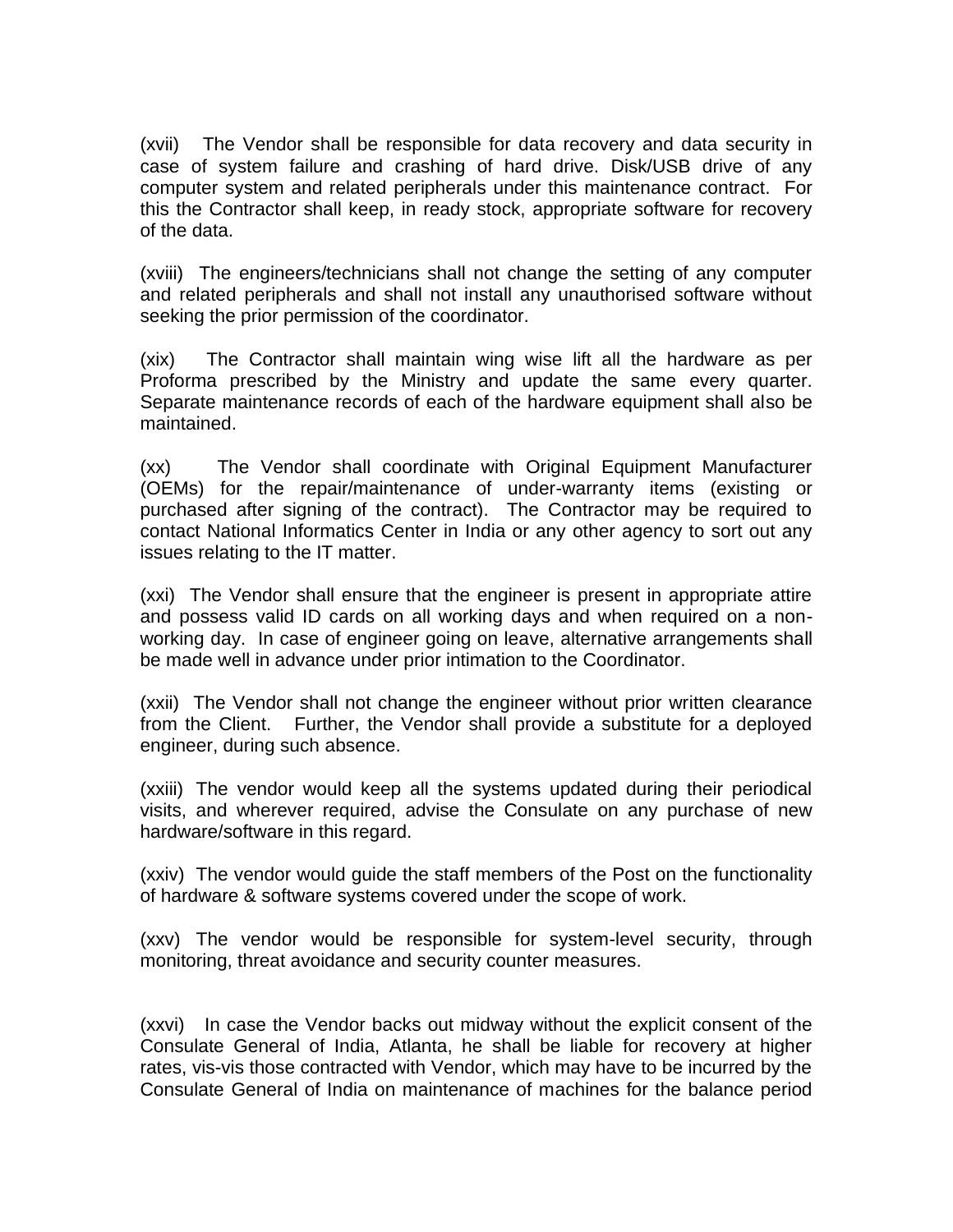(xvii) The Vendor shall be responsible for data recovery and data security in case of system failure and crashing of hard drive. Disk/USB drive of any computer system and related peripherals under this maintenance contract. For this the Contractor shall keep, in ready stock, appropriate software for recovery of the data.

(xviii) The engineers/technicians shall not change the setting of any computer and related peripherals and shall not install any unauthorised software without seeking the prior permission of the coordinator.

(xix) The Contractor shall maintain wing wise lift all the hardware as per Proforma prescribed by the Ministry and update the same every quarter. Separate maintenance records of each of the hardware equipment shall also be maintained.

(xx) The Vendor shall coordinate with Original Equipment Manufacturer (OEMs) for the repair/maintenance of under-warranty items (existing or purchased after signing of the contract). The Contractor may be required to contact National Informatics Center in India or any other agency to sort out any issues relating to the IT matter.

(xxi) The Vendor shall ensure that the engineer is present in appropriate attire and possess valid ID cards on all working days and when required on a nonworking day. In case of engineer going on leave, alternative arrangements shall be made well in advance under prior intimation to the Coordinator.

(xxii) The Vendor shall not change the engineer without prior written clearance from the Client. Further, the Vendor shall provide a substitute for a deployed engineer, during such absence.

(xxiii) The vendor would keep all the systems updated during their periodical visits, and wherever required, advise the Consulate on any purchase of new hardware/software in this regard.

(xxiv) The vendor would guide the staff members of the Post on the functionality of hardware & software systems covered under the scope of work.

(xxv) The vendor would be responsible for system-level security, through monitoring, threat avoidance and security counter measures.

(xxvi) In case the Vendor backs out midway without the explicit consent of the Consulate General of India, Atlanta, he shall be liable for recovery at higher rates, vis-vis those contracted with Vendor, which may have to be incurred by the Consulate General of India on maintenance of machines for the balance period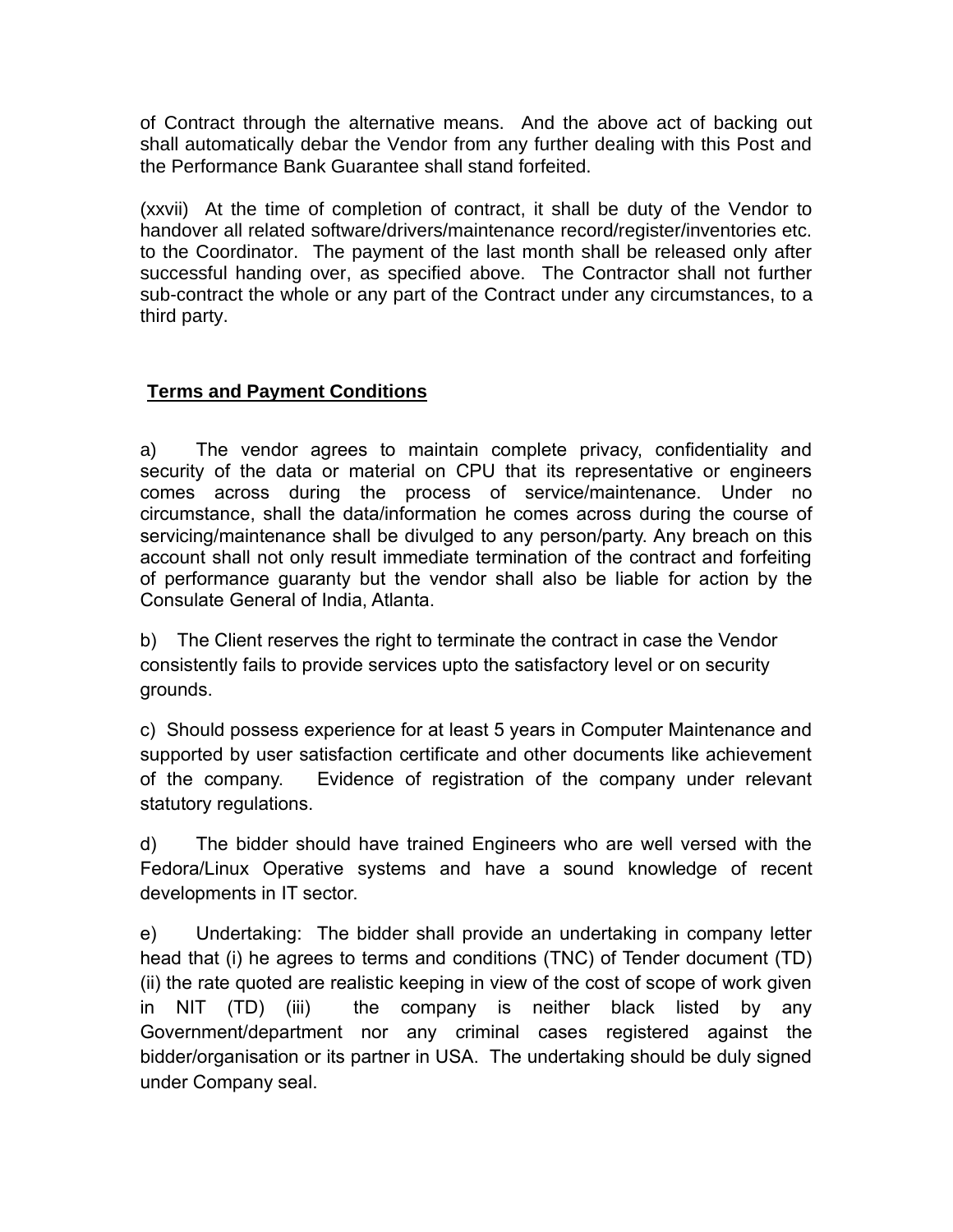of Contract through the alternative means. And the above act of backing out shall automatically debar the Vendor from any further dealing with this Post and the Performance Bank Guarantee shall stand forfeited.

(xxvii) At the time of completion of contract, it shall be duty of the Vendor to handover all related software/drivers/maintenance record/register/inventories etc. to the Coordinator. The payment of the last month shall be released only after successful handing over, as specified above. The Contractor shall not further sub-contract the whole or any part of the Contract under any circumstances, to a third party.

# **Terms and Payment Conditions**

a) The vendor agrees to maintain complete privacy, confidentiality and security of the data or material on CPU that its representative or engineers comes across during the process of service/maintenance. Under no circumstance, shall the data/information he comes across during the course of servicing/maintenance shall be divulged to any person/party. Any breach on this account shall not only result immediate termination of the contract and forfeiting of performance guaranty but the vendor shall also be liable for action by the Consulate General of India, Atlanta.

b) The Client reserves the right to terminate the contract in case the Vendor consistently fails to provide services upto the satisfactory level or on security grounds.

c) Should possess experience for at least 5 years in Computer Maintenance and supported by user satisfaction certificate and other documents like achievement of the company. Evidence of registration of the company under relevant statutory regulations.

d) The bidder should have trained Engineers who are well versed with the Fedora/Linux Operative systems and have a sound knowledge of recent developments in IT sector.

e) Undertaking: The bidder shall provide an undertaking in company letter head that (i) he agrees to terms and conditions (TNC) of Tender document (TD) (ii) the rate quoted are realistic keeping in view of the cost of scope of work given in NIT (TD) (iii) the company is neither black listed by any Government/department nor any criminal cases registered against the bidder/organisation or its partner in USA. The undertaking should be duly signed under Company seal.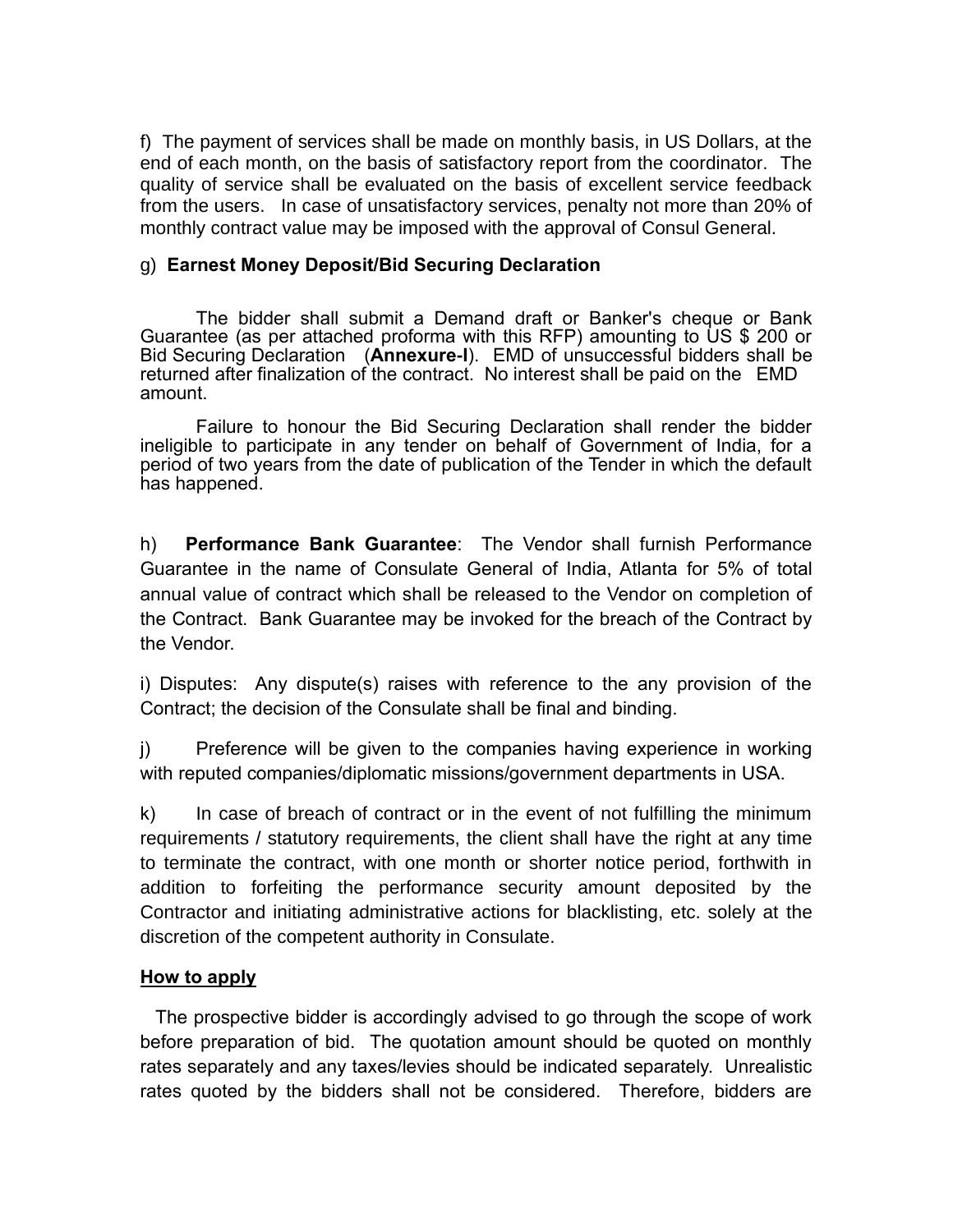f) The payment of services shall be made on monthly basis, in US Dollars, at the end of each month, on the basis of satisfactory report from the coordinator. The quality of service shall be evaluated on the basis of excellent service feedback from the users. In case of unsatisfactory services, penalty not more than 20% of monthly contract value may be imposed with the approval of Consul General.

#### g) **Earnest Money Deposit/Bid Securing Declaration**

The bidder shall submit a Demand draft or Banker's cheque or Bank Guarantee (as per attached proforma with this RFP) amounting to US \$ 200 or Bid Securing Declaration (**Annexure-I**). EMD of unsuccessful bidders shall be returned after finalization of the contract. No interest shall be paid on the EMD amount.

Failure to honour the Bid Securing Declaration shall render the bidder ineligible to participate in any tender on behalf of Government of India, for a period of two years from the date of publication of the Tender in which the default has happened.

h) **Performance Bank Guarantee**: The Vendor shall furnish Performance Guarantee in the name of Consulate General of India, Atlanta for 5% of total annual value of contract which shall be released to the Vendor on completion of the Contract. Bank Guarantee may be invoked for the breach of the Contract by the Vendor.

i) Disputes: Any dispute(s) raises with reference to the any provision of the Contract; the decision of the Consulate shall be final and binding.

j) Preference will be given to the companies having experience in working with reputed companies/diplomatic missions/government departments in USA.

k) In case of breach of contract or in the event of not fulfilling the minimum requirements / statutory requirements, the client shall have the right at any time to terminate the contract, with one month or shorter notice period, forthwith in addition to forfeiting the performance security amount deposited by the Contractor and initiating administrative actions for blacklisting, etc. solely at the discretion of the competent authority in Consulate.

### **How to apply**

 The prospective bidder is accordingly advised to go through the scope of work before preparation of bid. The quotation amount should be quoted on monthly rates separately and any taxes/levies should be indicated separately. Unrealistic rates quoted by the bidders shall not be considered. Therefore, bidders are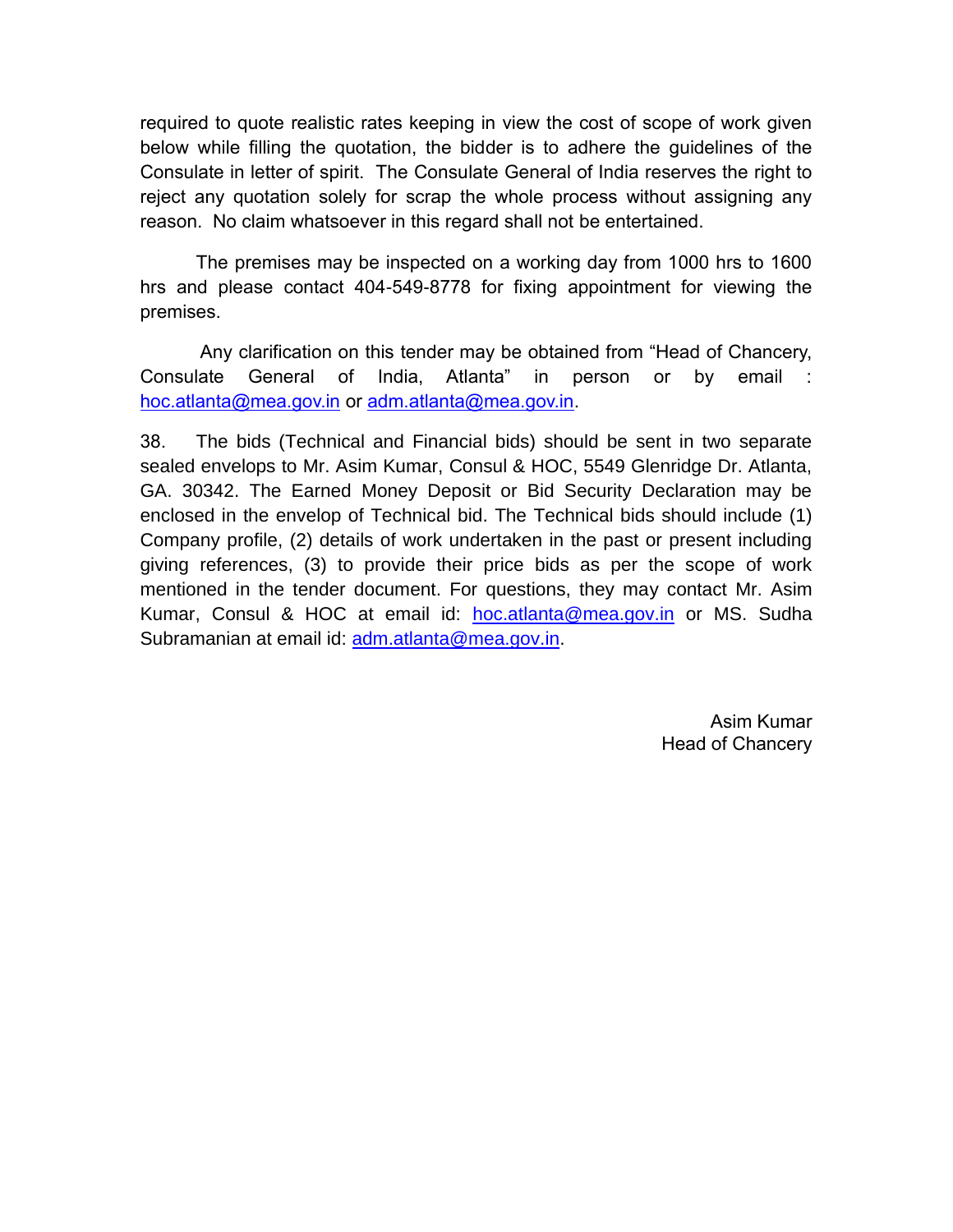required to quote realistic rates keeping in view the cost of scope of work given below while filling the quotation, the bidder is to adhere the guidelines of the Consulate in letter of spirit. The Consulate General of India reserves the right to reject any quotation solely for scrap the whole process without assigning any reason. No claim whatsoever in this regard shall not be entertained.

The premises may be inspected on a working day from 1000 hrs to 1600 hrs and please contact 404-549-8778 for fixing appointment for viewing the premises.

Any clarification on this tender may be obtained from "Head of Chancery, Consulate General of India, Atlanta" in person or by email : [hoc.atlanta@mea.gov.in](mailto:hoc.atlanta@mea.gov.in) or [adm.atlanta@mea.gov.in.](mailto:adm.atlanta@mea.gov.in)

38. The bids (Technical and Financial bids) should be sent in two separate sealed envelops to Mr. Asim Kumar, Consul & HOC, 5549 Glenridge Dr. Atlanta, GA. 30342. The Earned Money Deposit or Bid Security Declaration may be enclosed in the envelop of Technical bid. The Technical bids should include (1) Company profile, (2) details of work undertaken in the past or present including giving references, (3) to provide their price bids as per the scope of work mentioned in the tender document. For questions, they may contact Mr. Asim Kumar, Consul & HOC at email id: [hoc.atlanta@mea.gov.in](mailto:hoc.atlanta@mea.gov.in) or MS. Sudha Subramanian at email id: [adm.atlanta@mea.gov.in.](mailto:adm.atlanta@mea.gov.in)

> Asim Kumar Head of Chancery